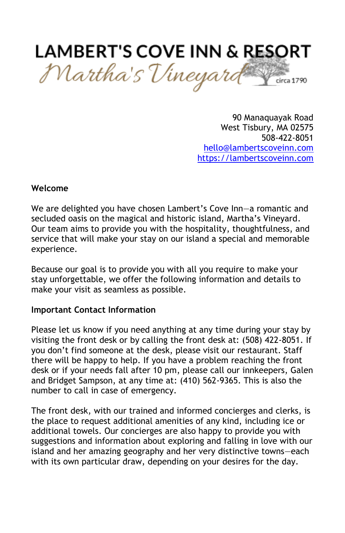

90 Manaquayak Road West Tisbury, MA 02575 508-422-8051 [hello@lambertscoveinn.com](mailto:hello@lambertscoveinn.com) [https://lambertscoveinn.com](https://lambertscoveinn.com/)

#### **Welcome**

We are delighted you have chosen Lambert's Cove Inn—a romantic and secluded oasis on the magical and historic island, Martha's Vineyard. Our team aims to provide you with the hospitality, thoughtfulness, and service that will make your stay on our island a special and memorable experience.

Because our goal is to provide you with all you require to make your stay unforgettable, we offer the following information and details to make your visit as seamless as possible.

#### **Important Contact Information**

Please let us know if you need anything at any time during your stay by visiting the front desk or by calling the front desk at: (508) 422-8051. If you don't find someone at the desk, please visit our restaurant. Staff there will be happy to help. If you have a problem reaching the front desk or if your needs fall after 10 pm, please call our innkeepers, Galen and Bridget Sampson, at any time at: (410) 562-9365. This is also the number to call in case of emergency.

The front desk, with our trained and informed concierges and clerks, is the place to request additional amenities of any kind, including ice or additional towels. Our concierges are also happy to provide you with suggestions and information about exploring and falling in love with our island and her amazing geography and her very distinctive towns—each with its own particular draw, depending on your desires for the day.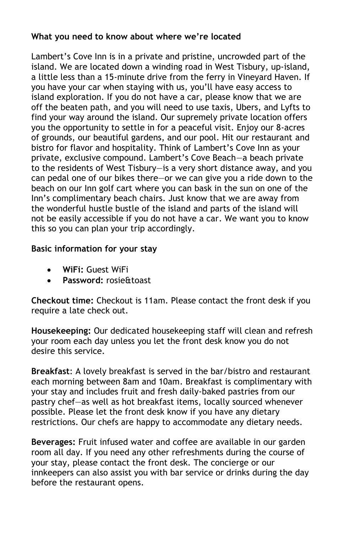# **What you need to know about where we're located**

Lambert's Cove Inn is in a private and pristine, uncrowded part of the island. We are located down a winding road in West Tisbury, up-island, a little less than a 15-minute drive from the ferry in Vineyard Haven. If you have your car when staying with us, you'll have easy access to island exploration. If you do not have a car, please know that we are off the beaten path, and you will need to use taxis, Ubers, and Lyfts to find your way around the island. Our supremely private location offers you the opportunity to settle in for a peaceful visit. Enjoy our 8-acres of grounds, our beautiful gardens, and our pool. Hit our restaurant and bistro for flavor and hospitality. Think of Lambert's Cove Inn as your private, exclusive compound. Lambert's Cove Beach—a beach private to the residents of West Tisbury—is a very short distance away, and you can pedal one of our bikes there—or we can give you a ride down to the beach on our Inn golf cart where you can bask in the sun on one of the Inn's complimentary beach chairs. Just know that we are away from the wonderful hustle bustle of the island and parts of the island will not be easily accessible if you do not have a car. We want you to know this so you can plan your trip accordingly.

# **Basic information for your stay**

- **WiFi:** Guest WiFi
- **Password:** rosie&toast

**Checkout time:** Checkout is 11am. Please contact the front desk if you require a late check out.

**Housekeeping:** Our dedicated housekeeping staff will clean and refresh your room each day unless you let the front desk know you do not desire this service.

**Breakfast**: A lovely breakfast is served in the bar/bistro and restaurant each morning between 8am and 10am. Breakfast is complimentary with your stay and includes fruit and fresh daily-baked pastries from our pastry chef—as well as hot breakfast items, locally sourced whenever possible. Please let the front desk know if you have any dietary restrictions. Our chefs are happy to accommodate any dietary needs.

**Beverages:** Fruit infused water and coffee are available in our garden room all day. If you need any other refreshments during the course of your stay, please contact the front desk. The concierge or our innkeepers can also assist you with bar service or drinks during the day before the restaurant opens.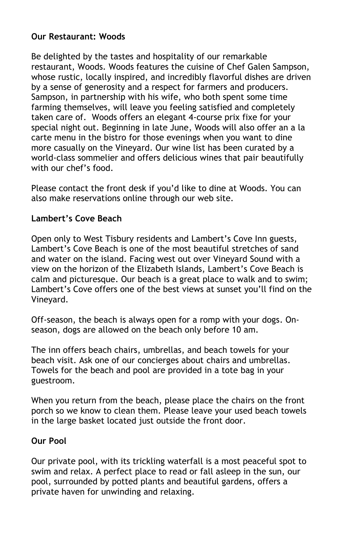# **Our Restaurant: Woods**

Be delighted by the tastes and hospitality of our remarkable restaurant, Woods. Woods features the cuisine of Chef Galen Sampson, whose rustic, locally inspired, and incredibly flavorful dishes are driven by a sense of generosity and a respect for farmers and producers. Sampson, in partnership with his wife, who both spent some time farming themselves, will leave you feeling satisfied and completely taken care of. Woods offers an elegant 4-course prix fixe for your special night out. Beginning in late June, Woods will also offer an a la carte menu in the bistro for those evenings when you want to dine more casually on the Vineyard. Our wine list has been curated by a world-class sommelier and offers delicious wines that pair beautifully with our chef's food.

Please contact the front desk if you'd like to dine at Woods. You can also make reservations online through our web site.

# **Lambert's Cove Beach**

Open only to West Tisbury residents and Lambert's Cove Inn guests, Lambert's Cove Beach is one of the most beautiful stretches of sand and water on the island. Facing west out over Vineyard Sound with a view on the horizon of the Elizabeth Islands, Lambert's Cove Beach is calm and picturesque. Our beach is a great place to walk and to swim; Lambert's Cove offers one of the best views at sunset you'll find on the Vineyard.

Off-season, the beach is always open for a romp with your dogs. Onseason, dogs are allowed on the beach only before 10 am.

The inn offers beach chairs, umbrellas, and beach towels for your beach visit. Ask one of our concierges about chairs and umbrellas. Towels for the beach and pool are provided in a tote bag in your guestroom.

When you return from the beach, please place the chairs on the front porch so we know to clean them. Please leave your used beach towels in the large basket located just outside the front door.

## **Our Pool**

Our private pool, with its trickling waterfall is a most peaceful spot to swim and relax. A perfect place to read or fall asleep in the sun, our pool, surrounded by potted plants and beautiful gardens, offers a private haven for unwinding and relaxing.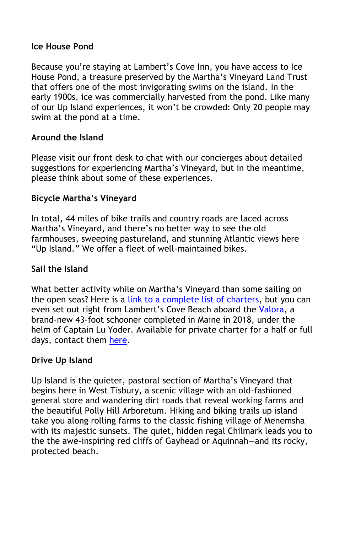#### **Ice House Pond**

Because you're staying at Lambert's Cove Inn, you have access to Ice House Pond, a treasure preserved by the Martha's Vineyard Land Trust that offers one of the most invigorating swims on the island. In the early 1900s, ice was commercially harvested from the pond. Like many of our Up Island experiences, it won't be crowded: Only 20 people may swim at the pond at a time.

## **Around the Island**

Please visit our front desk to chat with our concierges about detailed suggestions for experiencing Martha's Vineyard, but in the meantime, please think about some of these experiences.

## **Bicycle Martha's Vineyard**

In total, 44 miles of bike trails and country roads are laced across Martha's Vineyard, and there's no better way to see the old farmhouses, sweeping pastureland, and stunning Atlantic views here "Up Island." We offer a fleet of well-maintained bikes.

## **Sail the Island**

What better activity while on Martha's Vineyard than some sailing on the open seas? Here is a [link to a complete list of charters,](https://mvol.com/listing-category/boat-charters/) but you can even set out right from Lambert's Cove Beach aboard the [Valora,](https://www.valoracharters.com/) a brand-new 43-foot schooner completed in Maine in 2018, under the helm of Captain Lu Yoder. Available for private charter for a half or full days, contact them [here.](https://www.valoracharters.com/#what-to-expect)

#### **Drive Up Island**

Up Island is the quieter, pastoral section of Martha's Vineyard that begins here in West Tisbury, a scenic village with an old-fashioned general store and wandering dirt roads that reveal working farms and the beautiful Polly Hill Arboretum. Hiking and biking trails up island take you along rolling farms to the classic fishing village of Menemsha with its majestic sunsets. The quiet, hidden regal Chilmark leads you to the the awe-inspiring red cliffs of Gayhead or Aquinnah—and its rocky, protected beach.